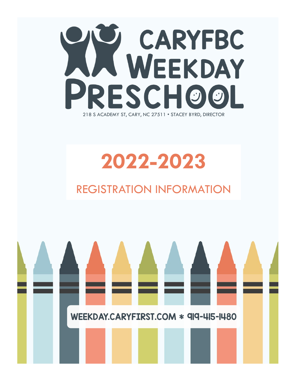

# **2022-2023**

## REGISTRATION INFORMATION

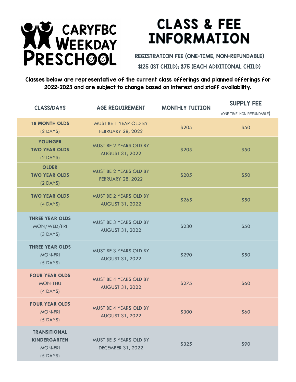

## **CLASS & FEE INFORMATION**

REGISTRATION FEE (ONE-TIME, NON-REFUNDABLE) \$125 (1ST CHILD); \$75 (EACH ADDITIONAL CHILD)

Classes below are representative of the current class offerings and planned offerings for 2022-2023 and are subject to change based on interest and staff availability.

| <b>CLASS/DAYS</b>                                                          | <b>AGE REQUIREMENT</b>                                  | <b>MONTHLY TUITION</b> | <b>SUPPLY FEE</b><br>(ONE TIME, NON-REFUNDABLE) |
|----------------------------------------------------------------------------|---------------------------------------------------------|------------------------|-------------------------------------------------|
| <b>18 MONTH OLDS</b><br>$(2$ DAYS)                                         | MUST BE 1 YEAR OLD BY<br><b>FEBRUARY 28, 2022</b>       | \$205                  | \$50                                            |
| <b>YOUNGER</b><br><b>TWO YEAR OLDS</b><br>$(2$ DAYS)                       | MUST BE 2 YEARS OLD BY<br><b>AUGUST 31, 2022</b>        | \$205                  | \$50                                            |
| <b>OLDER</b><br><b>TWO YEAR OLDS</b><br>$(2$ DAYS)                         | MUST BE 2 YEARS OLD BY<br><b>FEBRUARY 28, 2022</b>      | \$205                  | \$50                                            |
| <b>TWO YEAR OLDS</b><br>$(4$ DAYS)                                         | MUST BE 2 YEARS OLD BY<br><b>AUGUST 31, 2022</b>        | \$265                  | \$50                                            |
| <b>THREE YEAR OLDS</b><br>MON/WED/FRI<br>$(3$ DAYS)                        | MUST BE 3 YEARS OLD BY<br><b>AUGUST 31, 2022</b>        | \$230                  | \$50                                            |
| <b>THREE YEAR OLDS</b><br><b>MON-FRI</b><br>$(5$ DAYS)                     | MUST BE 3 YEARS OLD BY<br><b>AUGUST 31, 2022</b>        | \$290                  | \$50                                            |
| <b>FOUR YEAR OLDS</b><br><b>MON-THU</b><br>$(4$ DAYS)                      | MUST BE 4 YEARS OLD BY<br><b>AUGUST 31, 2022</b>        | \$275                  | \$60                                            |
| <b>FOUR YEAR OLDS</b><br><b>MON-FRI</b><br>$(5$ DAYS)                      | <b>MUST BE 4 YEARS OLD BY</b><br><b>AUGUST 31, 2022</b> | \$300                  | \$60                                            |
| <b>TRANSITIONAL</b><br><b>KINDERGARTEN</b><br><b>MON-FRI</b><br>$(5$ DAYS) | MUST BE 5 YEARS OLD BY<br><b>DECEMBER 31, 2022</b>      | \$325                  | \$90                                            |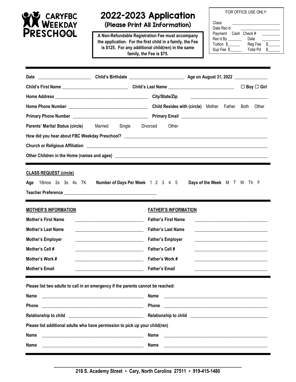

## 2022-2023 Application

(Please Print All Information)

**A Non-Refundable Registration Fee must accompany the application. For the first child in a family, the Fee is \$125. For any additional child(ren) in the same family, the Fee is \$75.**

FOR OFFICE USE ONLY:

| Class<br>Date Rec'd |                 |      |
|---------------------|-----------------|------|
| Payment Cash Check# |                 |      |
| Rec'd By            | Date            |      |
| Tuition \$          | Reg Fee         | - \$ |
| Sup Fee \$          | <b>Total Pd</b> |      |

|                                                                                                                 |                                                                                                                       |                                                                                                                               |                                                                                                                       |  | $\Box$ Boy $\Box$ Girl |
|-----------------------------------------------------------------------------------------------------------------|-----------------------------------------------------------------------------------------------------------------------|-------------------------------------------------------------------------------------------------------------------------------|-----------------------------------------------------------------------------------------------------------------------|--|------------------------|
|                                                                                                                 |                                                                                                                       |                                                                                                                               | <u> 1989 - Johann Harry Harry Harry Harry Harry Harry Harry Harry Harry Harry Harry Harry Harry Harry Harry Harry</u> |  |                        |
|                                                                                                                 |                                                                                                                       |                                                                                                                               |                                                                                                                       |  |                        |
|                                                                                                                 |                                                                                                                       |                                                                                                                               |                                                                                                                       |  |                        |
| <b>Parents' Marital Status (circle)</b> Married                                                                 | Single<br>Divorced                                                                                                    | Other                                                                                                                         |                                                                                                                       |  |                        |
|                                                                                                                 |                                                                                                                       |                                                                                                                               |                                                                                                                       |  |                        |
|                                                                                                                 |                                                                                                                       |                                                                                                                               |                                                                                                                       |  |                        |
|                                                                                                                 |                                                                                                                       |                                                                                                                               |                                                                                                                       |  |                        |
| <b>CLASS REQUEST (circle)</b><br>Age                                                                            | 18mos 2s 3s 4s TK Number of Days Per Week 1 2 3 4 5                                                                   |                                                                                                                               | Days of the Week M T W Th F                                                                                           |  |                        |
| <b>MOTHER'S INFORMATION</b>                                                                                     |                                                                                                                       | <b>FATHER'S INFORMATION</b>                                                                                                   |                                                                                                                       |  |                        |
| <b>Mother's First Name</b>                                                                                      |                                                                                                                       | <b>Father's First Name</b>                                                                                                    |                                                                                                                       |  |                        |
| <b>Mother's Last Name</b>                                                                                       |                                                                                                                       | <b>Father's Last Name</b>                                                                                                     |                                                                                                                       |  |                        |
| <b>Mother's Employer</b>                                                                                        |                                                                                                                       | <b>Father's Employer</b>                                                                                                      |                                                                                                                       |  |                        |
| Mother's Cell #                                                                                                 |                                                                                                                       | <b>Father's Cell #</b>                                                                                                        |                                                                                                                       |  |                        |
| Mother's Work #                                                                                                 | <u> La componenta de la componenta de la componenta de la componenta de la componenta de la componenta de la comp</u> | Father's Work #                                                                                                               |                                                                                                                       |  |                        |
| Mother's Email                                                                                                  | <u> 1989 - Jan Barat, margaret eta biztanleria (h. 1989).</u>                                                         | <b>Father's Email</b>                                                                                                         | <u> 1989 - Johann Barbara, margaret eta idazlea (h. 1989).</u>                                                        |  |                        |
| Please list two adults to call in an emergency if the parents cannot be reached:<br><b>Name</b><br><b>Phone</b> |                                                                                                                       | Name<br><u> Alexandria de la contexta de la contexta de la contexta de la contexta de la contexta de la contexta de la c</u>  |                                                                                                                       |  |                        |
|                                                                                                                 |                                                                                                                       |                                                                                                                               |                                                                                                                       |  |                        |
| Please list additional adults who have permission to pick up your child(ren)                                    |                                                                                                                       |                                                                                                                               |                                                                                                                       |  |                        |
| <b>Name</b>                                                                                                     |                                                                                                                       | Name<br><u> 1989 - Johann Johann Stoff, deutscher Stoffen und der Stoffen und der Stoffen und der Stoffen und der Stoffen</u> |                                                                                                                       |  |                        |
| <b>Name</b>                                                                                                     |                                                                                                                       | Name                                                                                                                          |                                                                                                                       |  |                        |
|                                                                                                                 |                                                                                                                       |                                                                                                                               |                                                                                                                       |  |                        |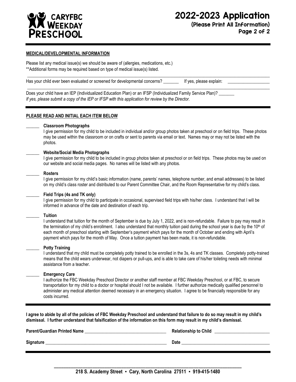

(Please Print All Information) Page 2 of 2

#### **MEDICAL/DEVELOPMENTAL INFORMATION**

Please list any medical issue(s) we should be aware of (allergies, medications, etc.) \*\*Additional forms may be required based on type of medical issue(s) listed.

| Has your child ever been evaluated or screened for developmental concerns? | If yes, please explain: |  |
|----------------------------------------------------------------------------|-------------------------|--|
|                                                                            |                         |  |

Does your child have an IEP (Individualized Education Plan) or an IFSP (Individualized Family Service Plan)? \_\_\_\_\_\_ *If yes, please submit a copy of the IEP or IFSP with this application for review by the Director.*

#### **PLEASE READ AND INITIAL EACH ITEM BELOW**

#### **\_\_\_\_\_\_ Classroom Photographs**

I give permission for my child to be included in individual and/or group photos taken at preschool or on field trips. These photos may be used within the classroom or on crafts or sent to parents via email or text. Names may or may not be listed with the photos.

#### **\_\_\_\_\_\_ Website/Social Media Photographs**

I give permission for my child to be included in group photos taken at preschool or on field trips. These photos may be used on our website and social media pages. No names will be listed with any photos.

#### **\_\_\_\_\_\_ Rosters**

I give permission for my child's basic information (name, parents' names, telephone number, and email addresses) to be listed on my child's class roster and distributed to our Parent Committee Chair, and the Room Representative for my child's class.

#### **\_\_\_\_\_\_ Field Trips (4s and TK only)**

I give permission for my child to participate in occasional, supervised field trips with his/her class. I understand that I will be informed in advance of the date and destination of each trip.

#### **\_\_\_\_\_\_ Tuition**

I understand that tuition for the month of September is due by July 1, 2022, and is non-refundable. Failure to pay may result in the termination of my child's enrollment. I also understand that monthly tuition paid during the school year is due by the  $10<sup>th</sup>$  of each month of preschool starting with September's payment which pays for the month of October and ending with April's payment which pays for the month of May. Once a tuition payment has been made, it is non-refundable.

#### **\_\_\_\_\_\_ Potty Training**

I understand that my child must be completely potty trained to be enrolled in the 3s, 4s and TK classes. Completely potty-trained means that the child wears underwear, not diapers or pull-ups, and is able to take care of his/her toileting needs with minimal assistance from a teacher.

#### **\_\_\_\_\_\_ Emergency Care**

I authorize the FBC Weekday Preschool Director or another staff member at FBC Weekday Preschool, or at FBC, to secure transportation for my child to a doctor or hospital should I not be available. I further authorize medically qualified personnel to administer any medical attention deemed necessary in an emergency situation. I agree to be financially responsible for any costs incurred.

**I agree to abide by all of the policies of FBC Weekday Preschool and understand that failure to do so may result in my child's dismissal. I further understand that falsification of the information on this form may result in my child's dismissal.**

| <b>Parent/Guardian Printed Name</b> | <b>Relationship to Child</b> |
|-------------------------------------|------------------------------|
| Signature                           | <b>Date</b>                  |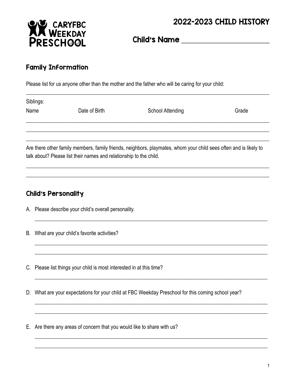## 2022-2023 CHILD HISTORY



Child's Name **\_\_\_\_\_\_\_\_\_\_\_\_\_\_\_\_\_\_\_\_\_\_\_\_\_**

### Family Information

Please list for us anyone other than the mother and the father who will be caring for your child:

| Siblings:<br>Name | Date of Birth                                                      | <b>School Attending</b>                                                                                           | Grade |
|-------------------|--------------------------------------------------------------------|-------------------------------------------------------------------------------------------------------------------|-------|
|                   |                                                                    |                                                                                                                   |       |
|                   | talk about? Please list their names and relationship to the child. | Are there other family members, family friends, neighbors, playmates, whom your child sees often and is likely to |       |

 $\_$  ,  $\_$  ,  $\_$  ,  $\_$  ,  $\_$  ,  $\_$  ,  $\_$  ,  $\_$  ,  $\_$  ,  $\_$  ,  $\_$  ,  $\_$  ,  $\_$  ,  $\_$  ,  $\_$  ,  $\_$  ,  $\_$  ,  $\_$  ,  $\_$  ,  $\_$  ,  $\_$  ,  $\_$  ,  $\_$  ,  $\_$  ,  $\_$  ,  $\_$  ,  $\_$  ,  $\_$  ,  $\_$  ,  $\_$  ,  $\_$  ,  $\_$  ,  $\_$  ,  $\_$  ,  $\_$  ,  $\_$  ,  $\_$  ,  $\_$  ,  $\_$  ,  $\_$  ,  $\_$  ,  $\_$  ,  $\_$  ,  $\_$  ,  $\_$  ,  $\_$  ,  $\_$  ,  $\_$  ,  $\_$  ,  $\_$  ,  $\_$  ,  $\_$  ,  $\_$  ,  $\_$  ,  $\_$  ,  $\_$  ,  $\_$  ,  $\_$  ,  $\_$  ,  $\_$  ,  $\_$  ,  $\_$  ,  $\_$  ,  $\_$  ,  $\_$  ,  $\_$  ,  $\_$  ,  $\_$  ,  $\_$  ,  $\_$  ,  $\_$  ,  $\_$  ,  $\_$  ,  $\_$  ,

\_\_\_\_\_\_\_\_\_\_\_\_\_\_\_\_\_\_\_\_\_\_\_\_\_\_\_\_\_\_\_\_\_\_\_\_\_\_\_\_\_\_\_\_\_\_\_\_\_\_\_\_\_\_\_\_\_\_\_\_\_\_\_\_\_\_\_\_\_\_\_\_\_\_\_\_\_\_\_\_\_\_\_\_\_\_\_\_

\_\_\_\_\_\_\_\_\_\_\_\_\_\_\_\_\_\_\_\_\_\_\_\_\_\_\_\_\_\_\_\_\_\_\_\_\_\_\_\_\_\_\_\_\_\_\_\_\_\_\_\_\_\_\_\_\_\_\_\_\_\_\_\_\_\_\_\_\_\_\_\_\_\_\_\_\_\_\_\_\_\_\_\_\_\_\_\_ \_\_\_\_\_\_\_\_\_\_\_\_\_\_\_\_\_\_\_\_\_\_\_\_\_\_\_\_\_\_\_\_\_\_\_\_\_\_\_\_\_\_\_\_\_\_\_\_\_\_\_\_\_\_\_\_\_\_\_\_\_\_\_\_\_\_\_\_\_\_\_\_\_\_\_\_\_\_\_\_\_\_\_\_\_\_\_\_

\_\_\_\_\_\_\_\_\_\_\_\_\_\_\_\_\_\_\_\_\_\_\_\_\_\_\_\_\_\_\_\_\_\_\_\_\_\_\_\_\_\_\_\_\_\_\_\_\_\_\_\_\_\_\_\_\_\_\_\_\_\_\_\_\_\_\_\_\_\_\_\_\_\_\_\_\_\_\_\_\_\_\_\_\_\_\_\_

\_\_\_\_\_\_\_\_\_\_\_\_\_\_\_\_\_\_\_\_\_\_\_\_\_\_\_\_\_\_\_\_\_\_\_\_\_\_\_\_\_\_\_\_\_\_\_\_\_\_\_\_\_\_\_\_\_\_\_\_\_\_\_\_\_\_\_\_\_\_\_\_\_\_\_\_\_\_\_\_\_\_\_\_\_\_\_\_ \_\_\_\_\_\_\_\_\_\_\_\_\_\_\_\_\_\_\_\_\_\_\_\_\_\_\_\_\_\_\_\_\_\_\_\_\_\_\_\_\_\_\_\_\_\_\_\_\_\_\_\_\_\_\_\_\_\_\_\_\_\_\_\_\_\_\_\_\_\_\_\_\_\_\_\_\_\_\_\_\_\_\_\_\_\_\_\_

\_\_\_\_\_\_\_\_\_\_\_\_\_\_\_\_\_\_\_\_\_\_\_\_\_\_\_\_\_\_\_\_\_\_\_\_\_\_\_\_\_\_\_\_\_\_\_\_\_\_\_\_\_\_\_\_\_\_\_\_\_\_\_\_\_\_\_\_\_\_\_\_\_\_\_\_\_\_\_\_\_\_\_\_\_\_\_\_ \_\_\_\_\_\_\_\_\_\_\_\_\_\_\_\_\_\_\_\_\_\_\_\_\_\_\_\_\_\_\_\_\_\_\_\_\_\_\_\_\_\_\_\_\_\_\_\_\_\_\_\_\_\_\_\_\_\_\_\_\_\_\_\_\_\_\_\_\_\_\_\_\_\_\_\_\_\_\_\_\_\_\_\_\_\_\_\_

\_\_\_\_\_\_\_\_\_\_\_\_\_\_\_\_\_\_\_\_\_\_\_\_\_\_\_\_\_\_\_\_\_\_\_\_\_\_\_\_\_\_\_\_\_\_\_\_\_\_\_\_\_\_\_\_\_\_\_\_\_\_\_\_\_\_\_\_\_\_\_\_\_\_\_\_\_\_\_\_\_\_\_\_\_\_\_\_\_\_\_\_

## Child's Personality

- A. Please describe your child's overall personality.
- B. What are your child's favorite activities?
- C. Please list things your child is most interested in at this time?
- D. What are your expectations for your child at FBC Weekday Preschool for this coming school year?
- E. Are there any areas of concern that you would like to share with us?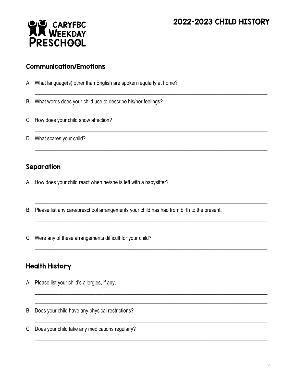## 2022-2023 CHILD HISTORY



#### Communication/Emotions

A. What language(s) other than English are spoken regularly at home?

B. What words does your child use to describe his/her feelings?

- C. How does your child show affection?
- D. What scares your child?

### Separation

- A. How does your child react when he/she is left with a babysitter?
- B. Please list any care/preschool arrangements your child has had from birth to the present.

\_\_\_\_\_\_\_\_\_\_\_\_\_\_\_\_\_\_\_\_\_\_\_\_\_\_\_\_\_\_\_\_\_\_\_\_\_\_\_\_\_\_\_\_\_\_\_\_\_\_\_\_\_\_\_\_\_\_\_\_\_\_\_\_\_\_\_\_\_\_\_\_\_\_\_\_\_\_\_\_\_\_\_\_\_\_\_\_

\_\_\_\_\_\_\_\_\_\_\_\_\_\_\_\_\_\_\_\_\_\_\_\_\_\_\_\_\_\_\_\_\_\_\_\_\_\_\_\_\_\_\_\_\_\_\_\_\_\_\_\_\_\_\_\_\_\_\_\_\_\_\_\_\_\_\_\_\_\_\_\_\_\_\_\_\_\_\_\_\_\_\_\_\_\_\_\_

\_\_\_\_\_\_\_\_\_\_\_\_\_\_\_\_\_\_\_\_\_\_\_\_\_\_\_\_\_\_\_\_\_\_\_\_\_\_\_\_\_\_\_\_\_\_\_\_\_\_\_\_\_\_\_\_\_\_\_\_\_\_\_\_\_\_\_\_\_\_\_\_\_\_\_\_\_\_\_\_\_\_\_\_\_\_\_\_

\_\_\_\_\_\_\_\_\_\_\_\_\_\_\_\_\_\_\_\_\_\_\_\_\_\_\_\_\_\_\_\_\_\_\_\_\_\_\_\_\_\_\_\_\_\_\_\_\_\_\_\_\_\_\_\_\_\_\_\_\_\_\_\_\_\_\_\_\_\_\_\_\_\_\_\_\_\_\_\_\_\_\_\_\_\_\_\_

\_\_\_\_\_\_\_\_\_\_\_\_\_\_\_\_\_\_\_\_\_\_\_\_\_\_\_\_\_\_\_\_\_\_\_\_\_\_\_\_\_\_\_\_\_\_\_\_\_\_\_\_\_\_\_\_\_\_\_\_\_\_\_\_\_\_\_\_\_\_\_\_\_\_\_\_\_\_\_\_\_\_\_\_\_\_\_\_ \_\_\_\_\_\_\_\_\_\_\_\_\_\_\_\_\_\_\_\_\_\_\_\_\_\_\_\_\_\_\_\_\_\_\_\_\_\_\_\_\_\_\_\_\_\_\_\_\_\_\_\_\_\_\_\_\_\_\_\_\_\_\_\_\_\_\_\_\_\_\_\_\_\_\_\_\_\_\_\_\_\_\_\_\_\_\_\_

\_\_\_\_\_\_\_\_\_\_\_\_\_\_\_\_\_\_\_\_\_\_\_\_\_\_\_\_\_\_\_\_\_\_\_\_\_\_\_\_\_\_\_\_\_\_\_\_\_\_\_\_\_\_\_\_\_\_\_\_\_\_\_\_\_\_\_\_\_\_\_\_\_\_\_\_\_\_\_\_\_\_\_\_\_\_\_\_ \_\_\_\_\_\_\_\_\_\_\_\_\_\_\_\_\_\_\_\_\_\_\_\_\_\_\_\_\_\_\_\_\_\_\_\_\_\_\_\_\_\_\_\_\_\_\_\_\_\_\_\_\_\_\_\_\_\_\_\_\_\_\_\_\_\_\_\_\_\_\_\_\_\_\_\_\_\_\_\_\_\_\_\_\_\_\_\_

\_\_\_\_\_\_\_\_\_\_\_\_\_\_\_\_\_\_\_\_\_\_\_\_\_\_\_\_\_\_\_\_\_\_\_\_\_\_\_\_\_\_\_\_\_\_\_\_\_\_\_\_\_\_\_\_\_\_\_\_\_\_\_\_\_\_\_\_\_\_\_\_\_\_\_\_\_\_\_\_\_\_\_\_\_\_\_\_

\_\_\_\_\_\_\_\_\_\_\_\_\_\_\_\_\_\_\_\_\_\_\_\_\_\_\_\_\_\_\_\_\_\_\_\_\_\_\_\_\_\_\_\_\_\_\_\_\_\_\_\_\_\_\_\_\_\_\_\_\_\_\_\_\_\_\_\_\_\_\_\_\_\_\_\_\_\_\_\_\_\_\_\_\_\_\_\_ \_\_\_\_\_\_\_\_\_\_\_\_\_\_\_\_\_\_\_\_\_\_\_\_\_\_\_\_\_\_\_\_\_\_\_\_\_\_\_\_\_\_\_\_\_\_\_\_\_\_\_\_\_\_\_\_\_\_\_\_\_\_\_\_\_\_\_\_\_\_\_\_\_\_\_\_\_\_\_\_\_\_\_\_\_\_\_\_

\_\_\_\_\_\_\_\_\_\_\_\_\_\_\_\_\_\_\_\_\_\_\_\_\_\_\_\_\_\_\_\_\_\_\_\_\_\_\_\_\_\_\_\_\_\_\_\_\_\_\_\_\_\_\_\_\_\_\_\_\_\_\_\_\_\_\_\_\_\_\_\_\_\_\_\_\_\_\_\_\_\_\_\_\_\_\_\_

\_\_\_\_\_\_\_\_\_\_\_\_\_\_\_\_\_\_\_\_\_\_\_\_\_\_\_\_\_\_\_\_\_\_\_\_\_\_\_\_\_\_\_\_\_\_\_\_\_\_\_\_\_\_\_\_\_\_\_\_\_\_\_\_\_\_\_\_\_\_\_\_\_\_\_\_\_\_\_\_\_\_\_\_\_\_\_\_

C. Were any of these arrangements difficult for your child?

### Health History

- A. Please list your child's allergies, if any.
- B. Does your child have any physical restrictions?
- C. Does your child take any medications regularly?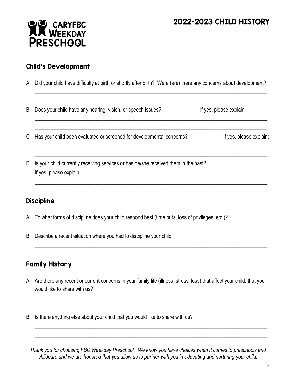## 2022-2023 CHILD HISTORY



#### Child's Development

A. Did your child have difficulty at birth or shortly after birth? Were (are) there any concerns about development?

\_\_\_\_\_\_\_\_\_\_\_\_\_\_\_\_\_\_\_\_\_\_\_\_\_\_\_\_\_\_\_\_\_\_\_\_\_\_\_\_\_\_\_\_\_\_\_\_\_\_\_\_\_\_\_\_\_\_\_\_\_\_\_\_\_\_\_\_\_\_\_\_\_\_\_\_\_\_\_\_\_\_\_\_\_\_\_\_ \_\_\_\_\_\_\_\_\_\_\_\_\_\_\_\_\_\_\_\_\_\_\_\_\_\_\_\_\_\_\_\_\_\_\_\_\_\_\_\_\_\_\_\_\_\_\_\_\_\_\_\_\_\_\_\_\_\_\_\_\_\_\_\_\_\_\_\_\_\_\_\_\_\_\_\_\_\_\_\_\_\_\_\_\_\_\_\_

\_\_\_\_\_\_\_\_\_\_\_\_\_\_\_\_\_\_\_\_\_\_\_\_\_\_\_\_\_\_\_\_\_\_\_\_\_\_\_\_\_\_\_\_\_\_\_\_\_\_\_\_\_\_\_\_\_\_\_\_\_\_\_\_\_\_\_\_\_\_\_\_\_\_\_\_\_\_\_\_\_\_\_\_\_\_\_\_ \_\_\_\_\_\_\_\_\_\_\_\_\_\_\_\_\_\_\_\_\_\_\_\_\_\_\_\_\_\_\_\_\_\_\_\_\_\_\_\_\_\_\_\_\_\_\_\_\_\_\_\_\_\_\_\_\_\_\_\_\_\_\_\_\_\_\_\_\_\_\_\_\_\_\_\_\_\_\_\_\_\_\_\_\_\_\_\_

\_\_\_\_\_\_\_\_\_\_\_\_\_\_\_\_\_\_\_\_\_\_\_\_\_\_\_\_\_\_\_\_\_\_\_\_\_\_\_\_\_\_\_\_\_\_\_\_\_\_\_\_\_\_\_\_\_\_\_\_\_\_\_\_\_\_\_\_\_\_\_\_\_\_\_\_\_\_\_\_\_\_\_\_\_\_\_\_ \_\_\_\_\_\_\_\_\_\_\_\_\_\_\_\_\_\_\_\_\_\_\_\_\_\_\_\_\_\_\_\_\_\_\_\_\_\_\_\_\_\_\_\_\_\_\_\_\_\_\_\_\_\_\_\_\_\_\_\_\_\_\_\_\_\_\_\_\_\_\_\_\_\_\_\_\_\_\_\_\_\_\_\_\_\_\_\_

\_\_\_\_\_\_\_\_\_\_\_\_\_\_\_\_\_\_\_\_\_\_\_\_\_\_\_\_\_\_\_\_\_\_\_\_\_\_\_\_\_\_\_\_\_\_\_\_\_\_\_\_\_\_\_\_\_\_\_\_\_\_\_\_\_\_\_\_\_\_\_\_\_\_\_\_\_\_\_\_\_\_\_\_\_\_\_\_

\_\_\_\_\_\_\_\_\_\_\_\_\_\_\_\_\_\_\_\_\_\_\_\_\_\_\_\_\_\_\_\_\_\_\_\_\_\_\_\_\_\_\_\_\_\_\_\_\_\_\_\_\_\_\_\_\_\_\_\_\_\_\_\_\_\_\_\_\_\_\_\_\_\_\_\_\_\_\_\_\_\_\_\_\_\_\_\_

\_\_\_\_\_\_\_\_\_\_\_\_\_\_\_\_\_\_\_\_\_\_\_\_\_\_\_\_\_\_\_\_\_\_\_\_\_\_\_\_\_\_\_\_\_\_\_\_\_\_\_\_\_\_\_\_\_\_\_\_\_\_\_\_\_\_\_\_\_\_\_\_\_\_\_\_\_\_\_\_\_\_\_\_\_\_\_\_

B. Does your child have any hearing, vision, or speech issues? \_\_\_\_\_\_\_\_\_\_\_\_\_\_\_\_\_ If yes, please explain:

- C. Has your child been evaluated or screened for developmental concerns? \_\_\_\_\_\_\_\_\_\_\_\_ If yes, please explain:
- D. Is your child currently receiving services or has he/she received them in the past? If yes, please explain:  $\blacksquare$

### **Discipline**

- A. To what forms of discipline does your child respond best (time outs, loss of privileges, etc.)?
- B. Describe a recent situation where you had to discipline your child.

## Family History

A. Are there any recent or current concerns in your family life (illness, stress, loss) that affect your child, that you would like to share with us?

\_\_\_\_\_\_\_\_\_\_\_\_\_\_\_\_\_\_\_\_\_\_\_\_\_\_\_\_\_\_\_\_\_\_\_\_\_\_\_\_\_\_\_\_\_\_\_\_\_\_\_\_\_\_\_\_\_\_\_\_\_\_\_\_\_\_\_\_\_\_\_\_\_\_\_\_\_\_\_\_\_\_\_\_\_\_\_\_ \_\_\_\_\_\_\_\_\_\_\_\_\_\_\_\_\_\_\_\_\_\_\_\_\_\_\_\_\_\_\_\_\_\_\_\_\_\_\_\_\_\_\_\_\_\_\_\_\_\_\_\_\_\_\_\_\_\_\_\_\_\_\_\_\_\_\_\_\_\_\_\_\_\_\_\_\_\_\_\_\_\_\_\_\_\_\_\_

\_\_\_\_\_\_\_\_\_\_\_\_\_\_\_\_\_\_\_\_\_\_\_\_\_\_\_\_\_\_\_\_\_\_\_\_\_\_\_\_\_\_\_\_\_\_\_\_\_\_\_\_\_\_\_\_\_\_\_\_\_\_\_\_\_\_\_\_\_\_\_\_\_\_\_\_\_\_\_\_\_\_\_\_\_\_\_\_ \_\_\_\_\_\_\_\_\_\_\_\_\_\_\_\_\_\_\_\_\_\_\_\_\_\_\_\_\_\_\_\_\_\_\_\_\_\_\_\_\_\_\_\_\_\_\_\_\_\_\_\_\_\_\_\_\_\_\_\_\_\_\_\_\_\_\_\_\_\_\_\_\_\_\_\_\_\_\_\_\_\_\_\_\_\_\_\_

B. Is there anything else about your child that you would like to share with us?

*Thank you for choosing FBC Weekday Preschool. We know you have choices when it comes to preschools and childcare and we are honored that you allow us to partner with you in educating and nurturing your child.*